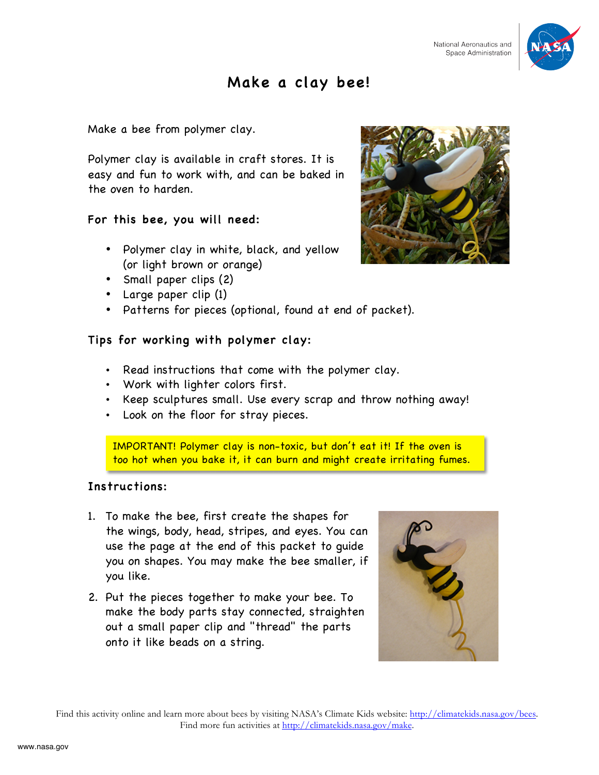

## Make a clay bee!

Make a bee from polymer clay.

Polymer clay is available in craft stores. It is easy and fun to work with, and can be baked in the oven to harden.

### For this bee, you will need:

- Polymer clay in white, black, and yellow (or light brown or orange)
- Small paper clips (2)
- Large paper clip (1)
- Patterns for pieces (optional, found at end of packet).

### Tips for working with polymer clay:

- Read instructions that come with the polymer clay.
- Work with lighter colors first.
- Keep sculptures small. Use every scrap and throw nothing away!
- Look on the floor for stray pieces.

IMPORTANT! Polymer clay is non-toxic, but don't eat it! If the oven is too hot when you bake it, it can burn and might create irritating fumes.

### Instructions:

- 1. To make the bee, first create the shapes for the wings, body, head, stripes, and eyes. You can use the page at the end of this packet to guide you on shapes. You may make the bee smaller, if you like.
- 2. Put the pieces together to make your bee. To make the body parts stay connected, straighten out a small paper clip and "thread" the parts onto it like beads on a string.



Find this activity online and learn more about bees by visiting NASA's Climate Kids website: http://climatekids.nasa.gov/bees. Find more fun activities at http://climatekids.nasa.gov/make.

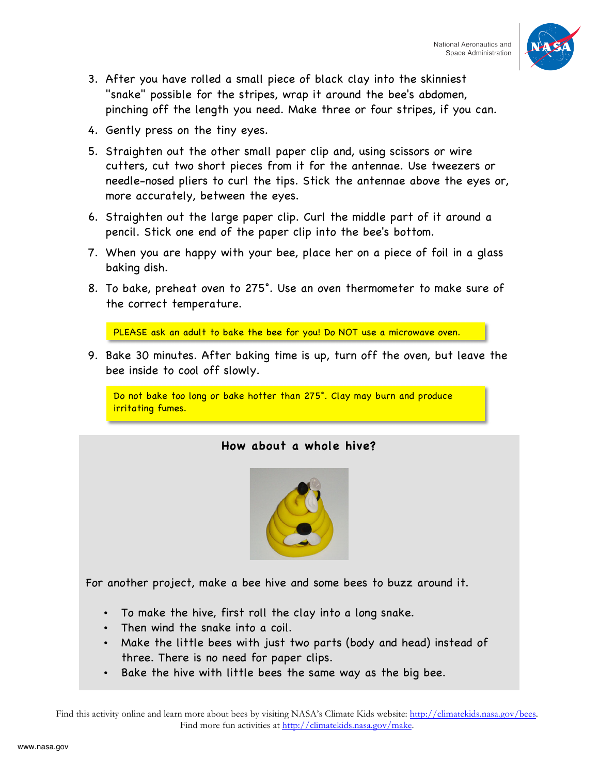

- 3. After you have rolled a small piece of black clay into the skinniest "snake" possible for the stripes, wrap it around the bee's abdomen, pinching off the length you need. Make three or four stripes, if you can.
- 4. Gently press on the tiny eyes.
- 5. Straighten out the other small paper clip and, using scissors or wire cutters, cut two short pieces from it for the antennae. Use tweezers or needle-nosed pliers to curl the tips. Stick the antennae above the eyes or, more accurately, between the eyes.
- 6. Straighten out the large paper clip. Curl the middle part of it around a pencil. Stick one end of the paper clip into the bee's bottom.
- 7. When you are happy with your bee, place her on a piece of foil in a glass baking dish.
- 8. To bake, preheat oven to 275°. Use an oven thermometer to make sure of the correct temperature.

PLEASE ask an adult to bake the bee for you! Do NOT use a microwave oven.

9. Bake 30 minutes. After baking time is up, turn off the oven, but leave the bee inside to cool off slowly.

Do not bake too long or bake hotter than 275°. Clay may burn and produce irritating fumes.

### **How about a whole hive?**



For another project, make a bee hive and some bees to buzz around it.

- To make the hive, first roll the clay into a long snake.
- Then wind the snake into a coil.
- Make the little bees with just two parts (body and head) instead of three. There is no need for paper clips.
- Bake the hive with little bees the same way as the big bee.

Find this activity online and learn more about bees by visiting NASA's Climate Kids website: http://climatekids.nasa.gov/bees. Find more fun activities at http://climatekids.nasa.gov/make.